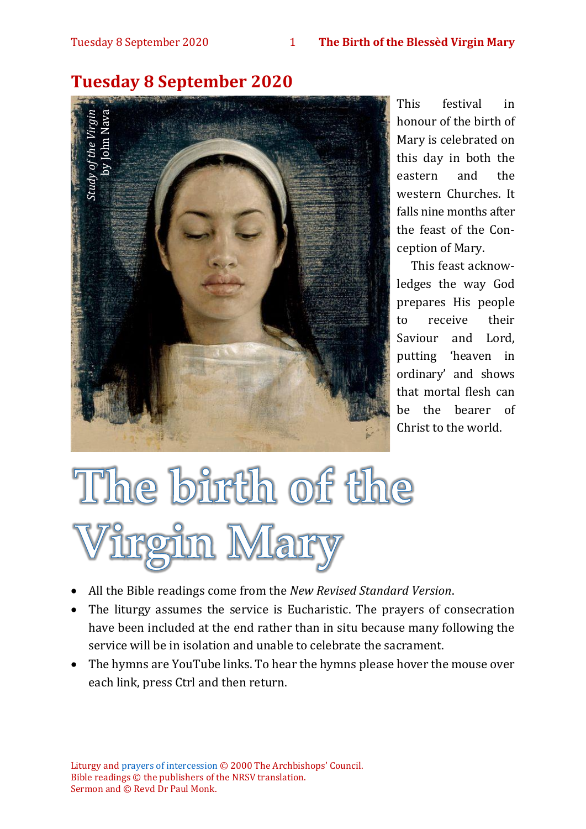

# **Tuesday 8 September 2020**

This festival in honour of the birth of Mary is celebrated on this day in both the eastern and the western Churches. It falls nine months after the feast of the Conception of Mary.

This feast acknowledges the way God prepares His people to receive their Saviour and Lord, putting 'heaven in ordinary' and shows that mortal flesh can be the bearer of Christ to the world.

- All the Bible readings come from the *New Revised Standard Version*.
- The liturgy assumes the service is Eucharistic. The prayers of consecration have been included at the end rather than in situ because many following the service will be in isolation and unable to celebrate the sacrament.
- The hymns are YouTube links. To hear the hymns please hover the mouse over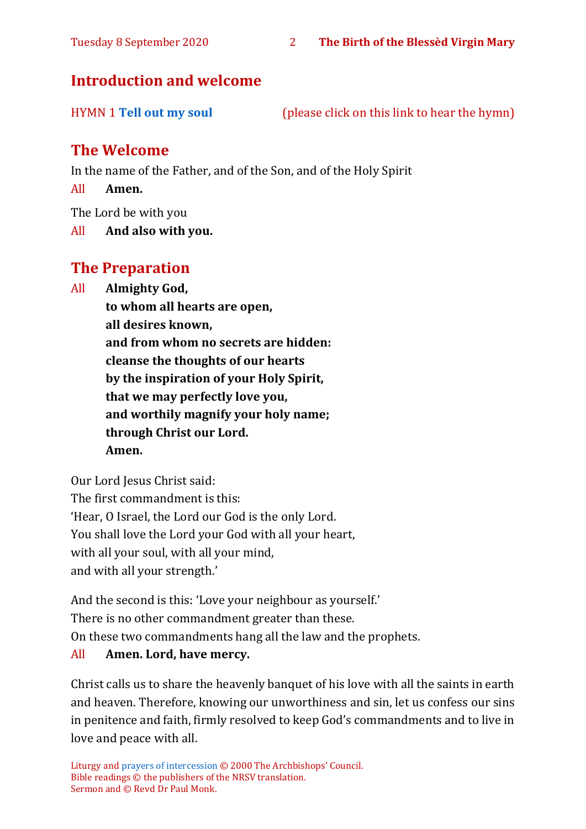# **Introduction and welcome**

HYMN 1 **[Tell out my soul](https://www.youtube.com/watch?v=-_JnUppvTAQ)** (please click on this link to hear the hymn)

# **The Welcome**

In the name of the Father, and of the Son, and of the Holy Spirit

All **Amen.**

The Lord be with you

All **And also with you.**

# **The Preparation**

All **Almighty God,**

**to whom all hearts are open, all desires known, and from whom no secrets are hidden: cleanse the thoughts of our hearts by the inspiration of your Holy Spirit, that we may perfectly love you, and worthily magnify your holy name; through Christ our Lord. Amen.**

Our Lord Jesus Christ said: The first commandment is this: 'Hear, O Israel, the Lord our God is the only Lord. You shall love the Lord your God with all your heart, with all your soul, with all your mind, and with all your strength.'

And the second is this: 'Love your neighbour as yourself.' There is no other commandment greater than these. On these two commandments hang all the law and the prophets. All **Amen. Lord, have mercy.**

Christ calls us to share the heavenly banquet of his love with all the saints in earth and heaven. Therefore, knowing our unworthiness and sin, let us confess our sins in penitence and faith, firmly resolved to keep God's commandments and to live in love and peace with all.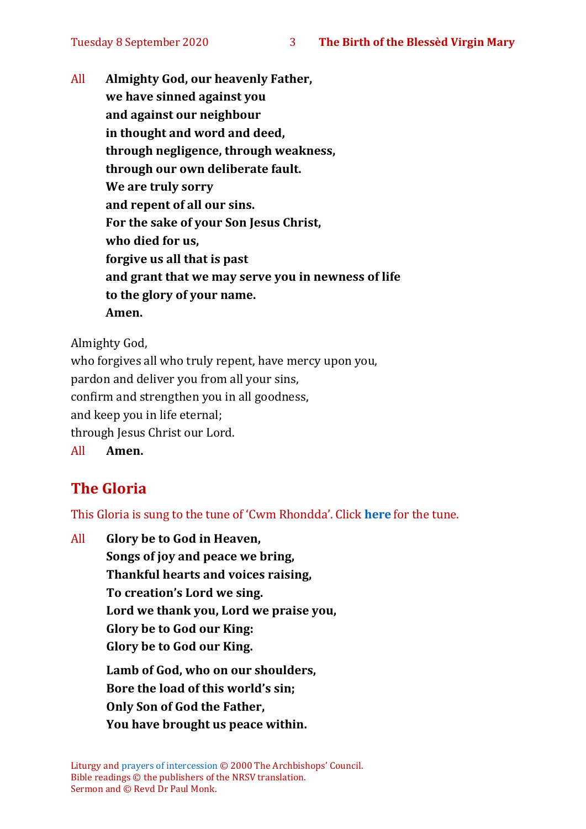All **Almighty God, our heavenly Father, we have sinned against you and against our neighbour in thought and word and deed, through negligence, through weakness, through our own deliberate fault. We are truly sorry and repent of all our sins. For the sake of your Son Jesus Christ, who died for us, forgive us all that is past and grant that we may serve you in newness of life to the glory of your name. Amen.**

Almighty God,

who forgives all who truly repent, have mercy upon you, pardon and deliver you from all your sins, confirm and strengthen you in all goodness, and keep you in life eternal; through Jesus Christ our Lord. All **Amen.**

# **The Gloria**

This Gloria is sung to the tune of 'Cwm Rhondda'. Click **[here](about:blank)** for the tune.

All **Glory be to God in Heaven, Songs of joy and peace we bring, Thankful hearts and voices raising, To creation's Lord we sing. Lord we thank you, Lord we praise you, Glory be to God our King: Glory be to God our King. Lamb of God, who on our shoulders, Bore the load of this world's sin;**

**Only Son of God the Father,**

**You have brought us peace within.**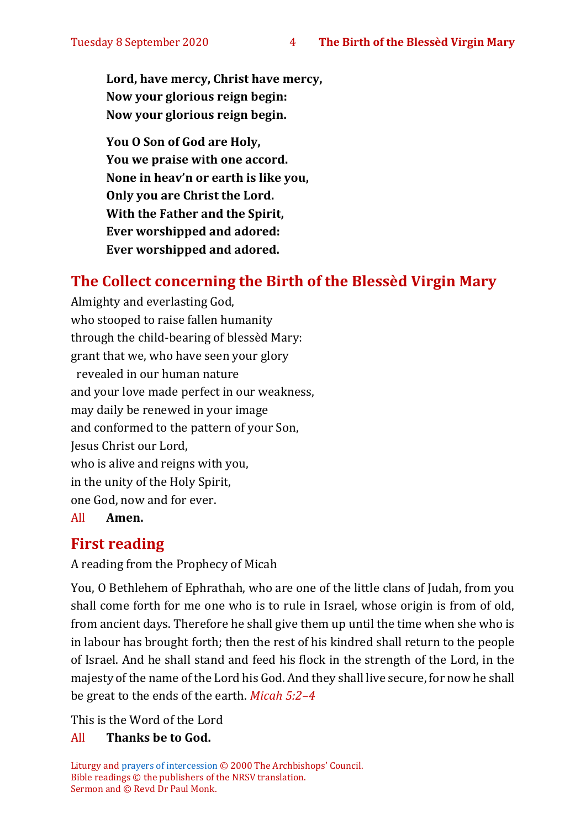**Lord, have mercy, Christ have mercy, Now your glorious reign begin: Now your glorious reign begin.**

**You O Son of God are Holy, You we praise with one accord. None in heav'n or earth is like you, Only you are Christ the Lord. With the Father and the Spirit, Ever worshipped and adored: Ever worshipped and adored.**

# **The Collect concerning the Birth of the Blessèd Virgin Mary**

Almighty and everlasting God, who stooped to raise fallen humanity through the child-bearing of blessèd Mary: grant that we, who have seen your glory revealed in our human nature and your love made perfect in our weakness, may daily be renewed in your image and conformed to the pattern of your Son, Jesus Christ our Lord, who is alive and reigns with you, in the unity of the Holy Spirit, one God, now and for ever.

All **Amen.**

# **First reading**

#### A reading from the Prophecy of Micah

You, O Bethlehem of Ephrathah, who are one of the little clans of Judah, from you shall come forth for me one who is to rule in Israel, whose origin is from of old, from ancient days. Therefore he shall give them up until the time when she who is in labour has brought forth; then the rest of his kindred shall return to the people of Israel. And he shall stand and feed his flock in the strength of the Lord, in the majesty of the name of the Lord his God. And they shall live secure, for now he shall be great to the ends of the earth. *Micah 5:2–4*

This is the Word of the Lord

#### All **Thanks be to God.**

Liturgy an[d prayers of intercession](https://www.churchofengland.org/prayer-and-worship/worship-texts-and-resources/common-worship/churchs-year/festivals/visit-blessed-virgin-mary-elizabeth) © 2000 The Archbishops' Council. Bible readings © the publishers of the NRSV translation. Sermon and © Revd Dr Paul Monk.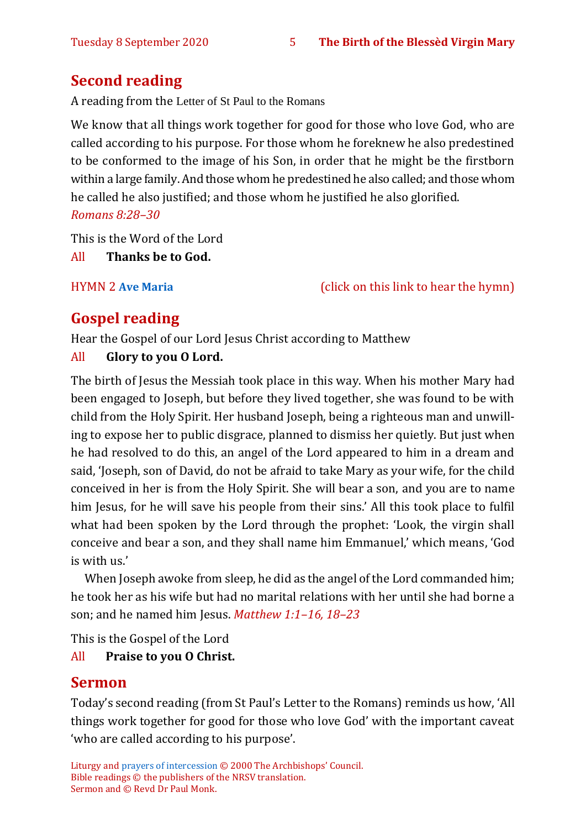# **Second reading**

A reading from the Letter of St Paul to the Romans

We know that all things work together for good for those who love God, who are called according to his purpose. For those whom he foreknew he also predestined to be conformed to the image of his Son, in order that he might be the firstborn within a large family. And those whom he predestined he also called; and those whom he called he also justified; and those whom he justified he also glorified. *Romans 8:28–30*

This is the Word of the Lord

All **Thanks be to God.**

HYMN 2 **[Ave Maria](https://www.youtube.com/watch?v=j8KL63r9Zcw)** (click on this link to hear the hymn)

# **Gospel reading**

Hear the Gospel of our Lord Jesus Christ according to Matthew

#### All **Glory to you O Lord.**

The birth of Jesus the Messiah took place in this way. When his mother Mary had been engaged to Joseph, but before they lived together, she was found to be with child from the Holy Spirit. Her husband Joseph, being a righteous man and unwilling to expose her to public disgrace, planned to dismiss her quietly. But just when he had resolved to do this, an angel of the Lord appeared to him in a dream and said, 'Joseph, son of David, do not be afraid to take Mary as your wife, for the child conceived in her is from the Holy Spirit. She will bear a son, and you are to name him Jesus, for he will save his people from their sins.' All this took place to fulfil what had been spoken by the Lord through the prophet: 'Look, the virgin shall conceive and bear a son, and they shall name him Emmanuel,' which means, 'God is with us.'

When Joseph awoke from sleep, he did as the angel of the Lord commanded him; he took her as his wife but had no marital relations with her until she had borne a son; and he named him Jesus. *Matthew 1:1–16, 18–23*

This is the Gospel of the Lord All **Praise to you O Christ.** 

# **Sermon**

Today's second reading (from St Paul's Letter to the Romans) reminds us how, 'All things work together for good for those who love God' with the important caveat 'who are called according to his purpose'.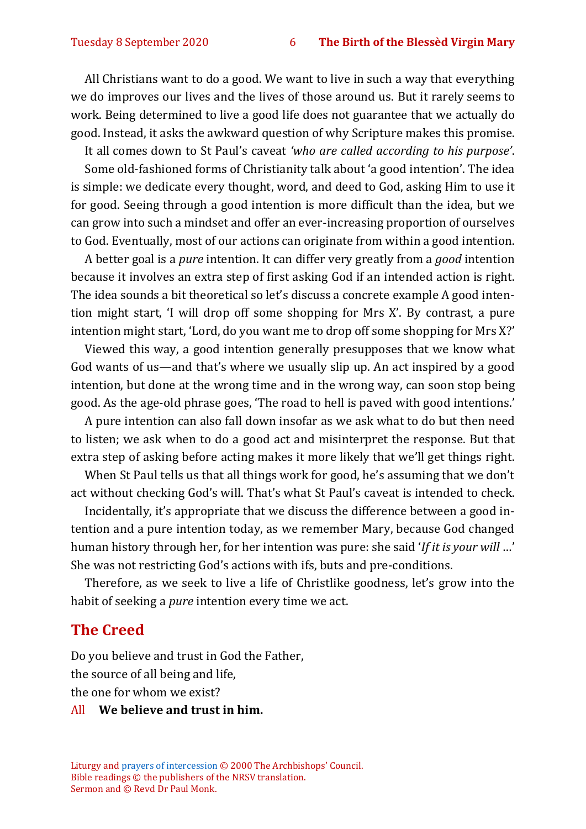All Christians want to do a good. We want to live in such a way that everything we do improves our lives and the lives of those around us. But it rarely seems to work. Being determined to live a good life does not guarantee that we actually do good. Instead, it asks the awkward question of why Scripture makes this promise.

It all comes down to St Paul's caveat *'who are called according to his purpose'*.

Some old-fashioned forms of Christianity talk about 'a good intention'. The idea is simple: we dedicate every thought, word, and deed to God, asking Him to use it for good. Seeing through a good intention is more difficult than the idea, but we can grow into such a mindset and offer an ever-increasing proportion of ourselves to God. Eventually, most of our actions can originate from within a good intention.

A better goal is a *pure* intention. It can differ very greatly from a *good* intention because it involves an extra step of first asking God if an intended action is right. The idea sounds a bit theoretical so let's discuss a concrete example A good intention might start, 'I will drop off some shopping for Mrs X'. By contrast, a pure intention might start, 'Lord, do you want me to drop off some shopping for Mrs X?'

Viewed this way, a good intention generally presupposes that we know what God wants of us—and that's where we usually slip up. An act inspired by a good intention, but done at the wrong time and in the wrong way, can soon stop being good. As the age-old phrase goes, 'The road to hell is paved with good intentions.'

A pure intention can also fall down insofar as we ask what to do but then need to listen; we ask when to do a good act and misinterpret the response. But that extra step of asking before acting makes it more likely that we'll get things right.

When St Paul tells us that all things work for good, he's assuming that we don't act without checking God's will. That's what St Paul's caveat is intended to check.

Incidentally, it's appropriate that we discuss the difference between a good intention and a pure intention today, as we remember Mary, because God changed human history through her, for her intention was pure: she said '*If it is your will* …' She was not restricting God's actions with ifs, buts and pre-conditions.

Therefore, as we seek to live a life of Christlike goodness, let's grow into the habit of seeking a *pure* intention every time we act.

#### **The Creed**

Do you believe and trust in God the Father, the source of all being and life, the one for whom we exist?

#### All **We believe and trust in him.**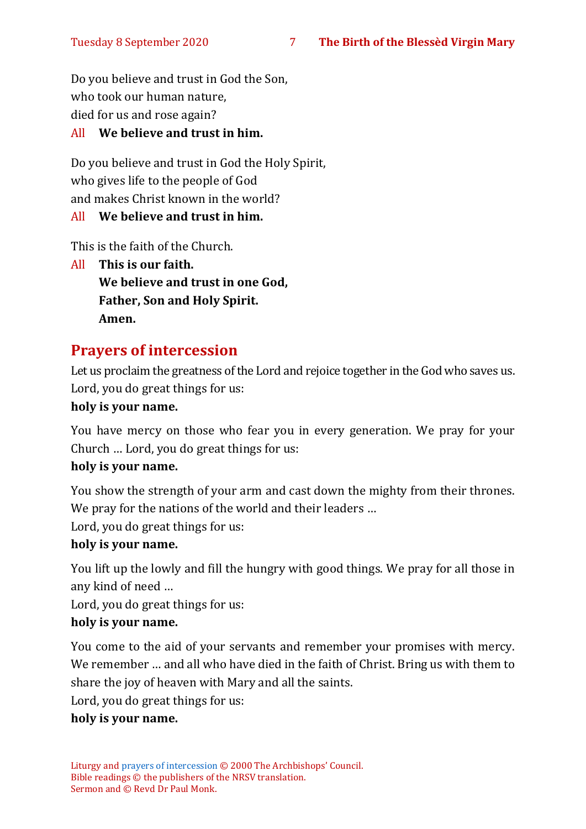Do you believe and trust in God the Son, who took our human nature, died for us and rose again?

#### All **We believe and trust in him.**

Do you believe and trust in God the Holy Spirit, who gives life to the people of God and makes Christ known in the world?

#### All **We believe and trust in him.**

This is the faith of the Church.

All **This is our faith. We believe and trust in one God, Father, Son and Holy Spirit. Amen.**

# **Prayers of intercession**

Let us proclaim the greatness of the Lord and rejoice together in the God who saves us. Lord, you do great things for us:

#### **holy is your name.**

You have mercy on those who fear you in every generation. We pray for your Church … Lord, you do great things for us:

#### **holy is your name.**

You show the strength of your arm and cast down the mighty from their thrones. We pray for the nations of the world and their leaders …

Lord, you do great things for us:

#### **holy is your name.**

You lift up the lowly and fill the hungry with good things. We pray for all those in any kind of need …

Lord, you do great things for us:

#### **holy is your name.**

You come to the aid of your servants and remember your promises with mercy. We remember … and all who have died in the faith of Christ. Bring us with them to share the joy of heaven with Mary and all the saints.

Lord, you do great things for us:

#### **holy is your name.**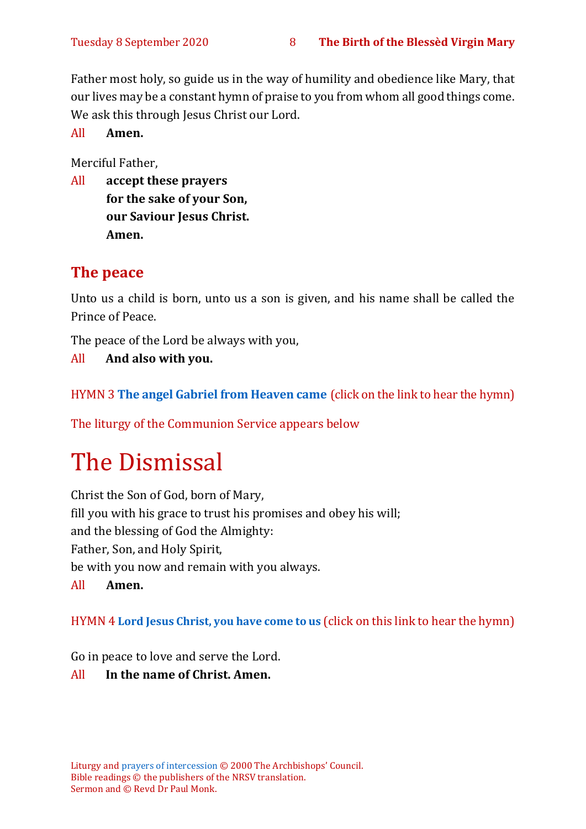Father most holy, so guide us in the way of humility and obedience like Mary, that our lives may be a constant hymn of praise to you from whom all good things come. We ask this through Jesus Christ our Lord.

All **Amen.**

Merciful Father,

All **accept these prayers for the sake of your Son, our Saviour Jesus Christ. Amen.**

# **The peace**

Unto us a child is born, unto us a son is given, and his name shall be called the Prince of Peace.

The peace of the Lord be always with you,

All **And also with you.**

HYMN 3 **[The angel Gabriel from Heaven came](https://www.youtube.com/watch?v=pliqObTHxUQ)** (click on the link to hear the hymn)

The liturgy of the Communion Service appears below

# The Dismissal

Christ the Son of God, born of Mary, fill you with his grace to trust his promises and obey his will; and the blessing of God the Almighty: Father, Son, and Holy Spirit, be with you now and remain with you always. All **Amen.**

HYMN 4 **[Lord Jesus Christ, you have come to us](https://www.youtube.com/watch?v=ekVLG-p8Xsc)** (click on this link to hear the hymn)

Go in peace to love and serve the Lord.

#### All **In the name of Christ. Amen.**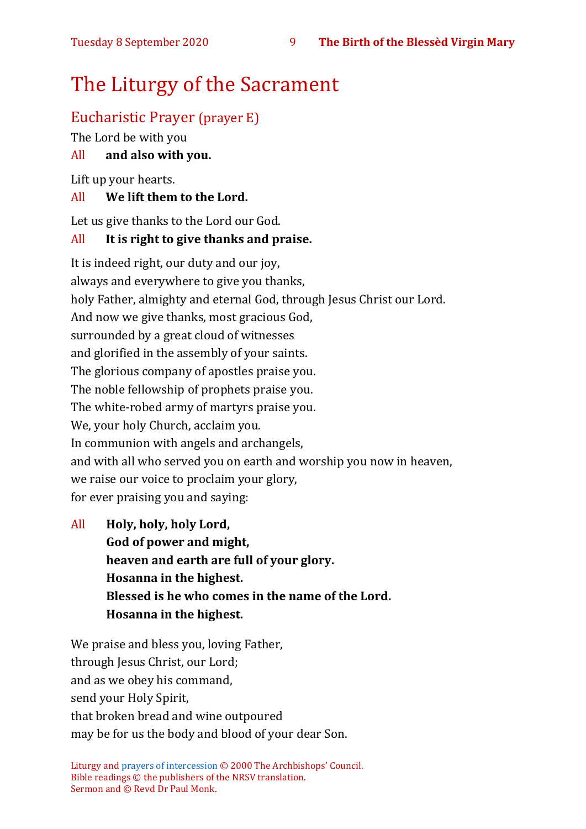# The Liturgy of the Sacrament

# Eucharistic Prayer (prayer E)

The Lord be with you

### All **and also with you.**

Lift up your hearts.

#### All **We lift them to the Lord.**

Let us give thanks to the Lord our God.

#### All **It is right to give thanks and praise.**

It is indeed right, our duty and our joy, always and everywhere to give you thanks, holy Father, almighty and eternal God, through Jesus Christ our Lord. And now we give thanks, most gracious God, surrounded by a great cloud of witnesses and glorified in the assembly of your saints. The glorious company of apostles praise you. The noble fellowship of prophets praise you. The white-robed army of martyrs praise you. We, your holy Church, acclaim you. In communion with angels and archangels, and with all who served you on earth and worship you now in heaven, we raise our voice to proclaim your glory, for ever praising you and saying:

All **Holy, holy, holy Lord, God of power and might, heaven and earth are full of your glory. Hosanna in the highest. Blessed is he who comes in the name of the Lord. Hosanna in the highest.**

We praise and bless you, loving Father, through Jesus Christ, our Lord; and as we obey his command, send your Holy Spirit, that broken bread and wine outpoured may be for us the body and blood of your dear Son.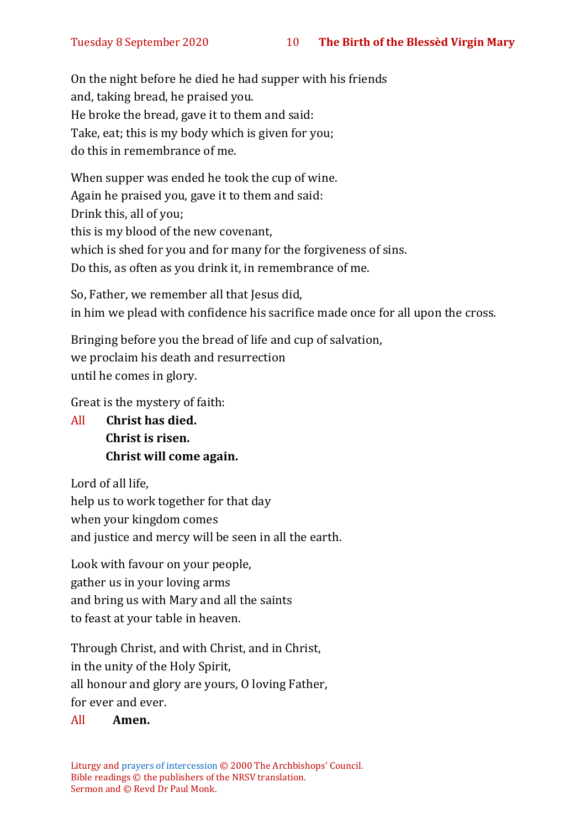On the night before he died he had supper with his friends and, taking bread, he praised you. He broke the bread, gave it to them and said: Take, eat; this is my body which is given for you; do this in remembrance of me.

When supper was ended he took the cup of wine. Again he praised you, gave it to them and said: Drink this, all of you; this is my blood of the new covenant, which is shed for you and for many for the forgiveness of sins. Do this, as often as you drink it, in remembrance of me.

So, Father, we remember all that Jesus did, in him we plead with confidence his sacrifice made once for all upon the cross.

Bringing before you the bread of life and cup of salvation, we proclaim his death and resurrection until he comes in glory.

Great is the mystery of faith:

All **Christ has died. Christ is risen. Christ will come again.**

Lord of all life, help us to work together for that day when your kingdom comes and justice and mercy will be seen in all the earth.

Look with favour on your people, gather us in your loving arms and bring us with Mary and all the saints to feast at your table in heaven.

Through Christ, and with Christ, and in Christ, in the unity of the Holy Spirit, all honour and glory are yours, O loving Father,

for ever and ever.

#### All **Amen.**

Liturgy an[d prayers of intercession](https://www.churchofengland.org/prayer-and-worship/worship-texts-and-resources/common-worship/churchs-year/festivals/visit-blessed-virgin-mary-elizabeth) © 2000 The Archbishops' Council. Bible readings © the publishers of the NRSV translation. Sermon and © Revd Dr Paul Monk.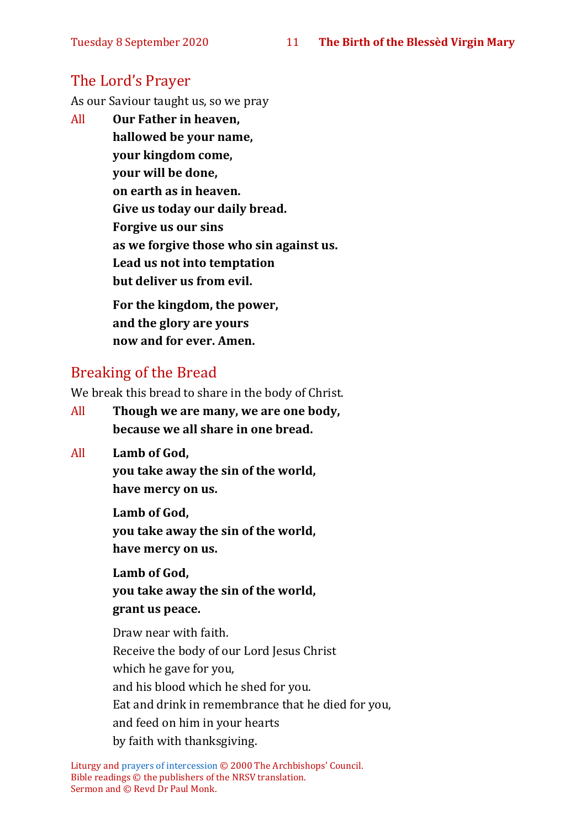# The Lord's Prayer

As our Saviour taught us, so we pray

All **Our Father in heaven, hallowed be your name, your kingdom come, your will be done, on earth as in heaven. Give us today our daily bread. Forgive us our sins as we forgive those who sin against us. Lead us not into temptation but deliver us from evil. For the kingdom, the power,** 

**and the glory are yours now and for ever. Amen.**

# Breaking of the Bread

We break this bread to share in the body of Christ.

- All **Though we are many, we are one body, because we all share in one bread.**
- All **Lamb of God,**

**you take away the sin of the world, have mercy on us.**

**Lamb of God, you take away the sin of the world, have mercy on us.**

**Lamb of God, you take away the sin of the world, grant us peace.**

Draw near with faith. Receive the body of our Lord Jesus Christ which he gave for you, and his blood which he shed for you. Eat and drink in remembrance that he died for you, and feed on him in your hearts by faith with thanksgiving.